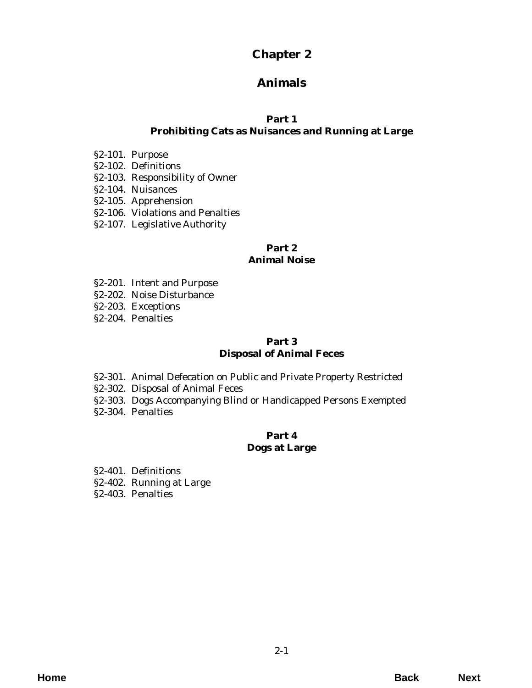# **Chapter 2**

# **Animals**

# **Part 1**

# **[Prohibiting Cats as Nuisances and Running at Large](#page-2-0)**

- §2-101. Purpose
- §2-102. Definitions
- §2-103. Responsibility of Owner
- §2-104. Nuisances
- §2-105. Apprehension
- [§2-106. Violations and Penalties](#page-3-0)
- §2-107. Legislative Authority

## **Part 2 Animal Noise**

- [§2-201. Intent and Purpose](#page-4-0)
- §2-202. Noise Disturbance
- §2-203. Exceptions
- §2-204. Penalties

# **Part 3 Disposal of Animal Feces**

- §2-301. Animal Defecation on Public and Private Property Restricted
- §2-302. Disposal of Animal Feces
- [§2-303. Dogs Accompanying Blind or Handicapped Persons Exempted](#page-6-0)
- §2-304. Penalties

# **Part 4 Dogs at Large**

- §2-401. Definitions
- [§2-402. Running at Large](#page-8-0)
- §2-403. Penalties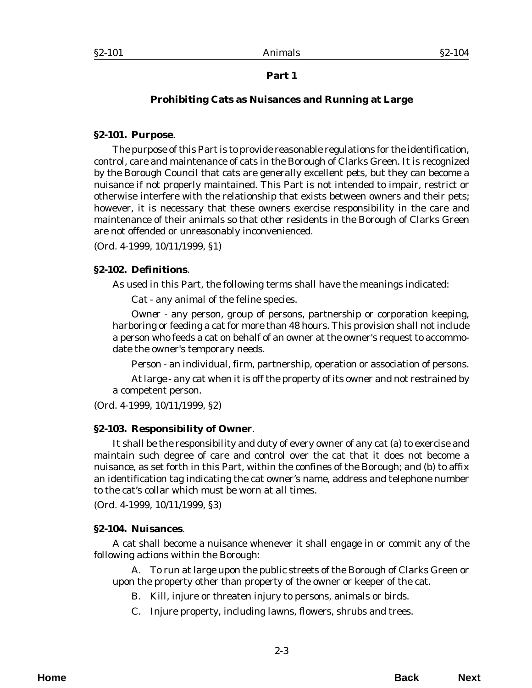# **Prohibiting Cats as Nuisances and Running at Large**

#### <span id="page-2-0"></span>**§2-101. Purpose**.

The purpose of this Part is to provide reasonable regulations for the identification, control, care and maintenance of cats in the Borough of Clarks Green. It is recognized by the Borough Council that cats are generally excellent pets, but they can become a nuisance if not properly maintained. This Part is not intended to impair, restrict or otherwise interfere with the relationship that exists between owners and their pets; however, it is necessary that these owners exercise responsibility in the care and maintenance of their animals so that other residents in the Borough of Clarks Green are not offended or unreasonably inconvenienced.

(*Ord. 4-1999*, 10/11/1999, §1)

#### **§2-102. Definitions**.

As used in this Part, the following terms shall have the meanings indicated:

*Cat* - any animal of the feline species.

*Owner* - any person, group of persons, partnership or corporation keeping, harboring or feeding a cat for more than 48 hours. This provision shall not include a person who feeds a cat on behalf of an owner at the owner's request to accommodate the owner's temporary needs.

*Person* - an individual, firm, partnership, operation or association of persons.

*At large* - any cat when it is off the property of its owner and not restrained by a competent person.

(*Ord. 4-1999*, 10/11/1999, §2)

### **§2-103. Responsibility of Owner**.

It shall be the responsibility and duty of every owner of any cat (a) to exercise and maintain such degree of care and control over the cat that it does not become a nuisance, as set forth in this Part, within the confines of the Borough; and (b) to affix an identification tag indicating the cat owner's name, address and telephone number to the cat's collar which must be worn at all times.

(*Ord. 4-1999*, 10/11/1999, §3)

### **§2-104. Nuisances**.

A cat shall become a nuisance whenever it shall engage in or commit any of the following actions within the Borough:

A. To run at large upon the public streets of the Borough of Clarks Green or upon the property other than property of the owner or keeper of the cat.

- B. Kill, injure or threaten injury to persons, animals or birds.
- C. Injure property, including lawns, flowers, shrubs and trees.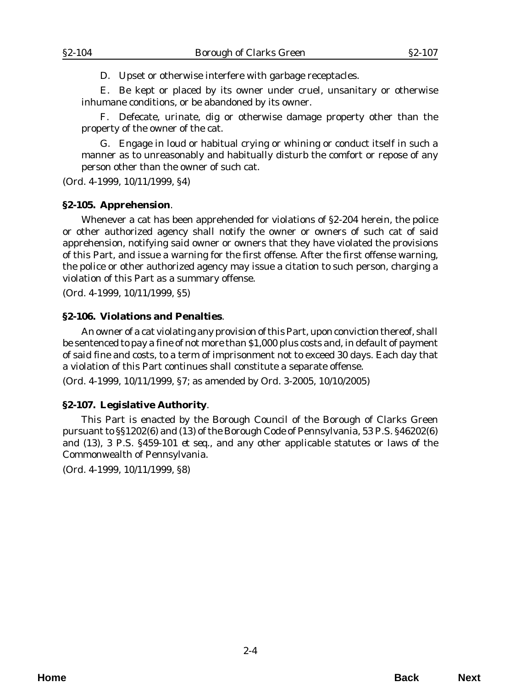D. Upset or otherwise interfere with garbage receptacles.

<span id="page-3-0"></span>E. Be kept or placed by its owner under cruel, unsanitary or otherwise inhumane conditions, or be abandoned by its owner.

F. Defecate, urinate, dig or otherwise damage property other than the property of the owner of the cat.

G. Engage in loud or habitual crying or whining or conduct itself in such a manner as to unreasonably and habitually disturb the comfort or repose of any person other than the owner of such cat.

(*Ord. 4-1999*, 10/11/1999, §4)

#### **§2-105. Apprehension**.

Whenever a cat has been apprehended for violations of §2-204 herein, the police or other authorized agency shall notify the owner or owners of such cat of said apprehension, notifying said owner or owners that they have violated the provisions of this Part, and issue a warning for the first offense. After the first offense warning, the police or other authorized agency may issue a citation to such person, charging a violation of this Part as a summary offense.

(*Ord. 4-1999*, 10/11/1999, §5)

#### **§2-106. Violations and Penalties**.

An owner of a cat violating any provision of this Part, upon conviction thereof, shall be sentenced to pay a fine of not more than \$1,000 plus costs and, in default of payment of said fine and costs, to a term of imprisonment not to exceed 30 days. Each day that a violation of this Part continues shall constitute a separate offense.

(*Ord. 4-1999*, 10/11/1999, §7; as amended by *Ord. 3-2005*, 10/10/2005)

### **§2-107. Legislative Authority**.

This Part is enacted by the Borough Council of the Borough of Clarks Green pursuant to §§1202(6) and (13) of the Borough Code of Pennsylvania, 53 P.S. §46202(6) and (13), 3 P.S. §459-101 *et seq*., and any other applicable statutes or laws of the Commonwealth of Pennsylvania.

(*Ord. 4-1999*, 10/11/1999, §8)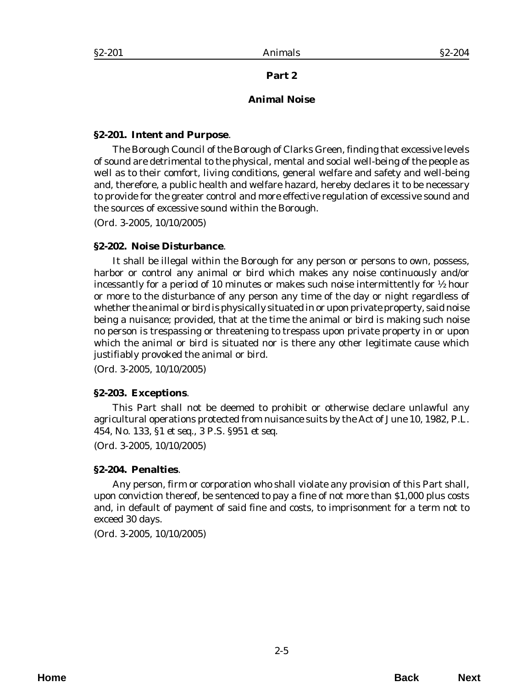#### **Animal Noise**

#### <span id="page-4-0"></span>**§2-201. Intent and Purpose**.

The Borough Council of the Borough of Clarks Green, finding that excessive levels of sound are detrimental to the physical, mental and social well-being of the people as well as to their comfort, living conditions, general welfare and safety and well-being and, therefore, a public health and welfare hazard, hereby declares it to be necessary to provide for the greater control and more effective regulation of excessive sound and the sources of excessive sound within the Borough.

(*Ord. 3-2005*, 10/10/2005)

#### **§2-202. Noise Disturbance**.

It shall be illegal within the Borough for any person or persons to own, possess, harbor or control any animal or bird which makes any noise continuously and/or incessantly for a period of 10 minutes or makes such noise intermittently for ½ hour or more to the disturbance of any person any time of the day or night regardless of whether the animal or bird is physically situated in or upon private property, said noise being a nuisance; provided, that at the time the animal or bird is making such noise no person is trespassing or threatening to trespass upon private property in or upon which the animal or bird is situated nor is there any other legitimate cause which justifiably provoked the animal or bird.

(*Ord. 3-2005*, 10/10/2005)

### **§2-203. Exceptions**.

This Part shall not be deemed to prohibit or otherwise declare unlawful any agricultural operations protected from nuisance suits by the Act of June 10, 1982, P.L. 454, No. 133, §1 *et seq*., 3 P.S. §951 *et seq*.

(*Ord. 3-2005*, 10/10/2005)

#### **§2-204. Penalties**.

Any person, firm or corporation who shall violate any provision of this Part shall, upon conviction thereof, be sentenced to pay a fine of not more than \$1,000 plus costs and, in default of payment of said fine and costs, to imprisonment for a term not to exceed 30 days.

(*Ord. 3-2005*, 10/10/2005)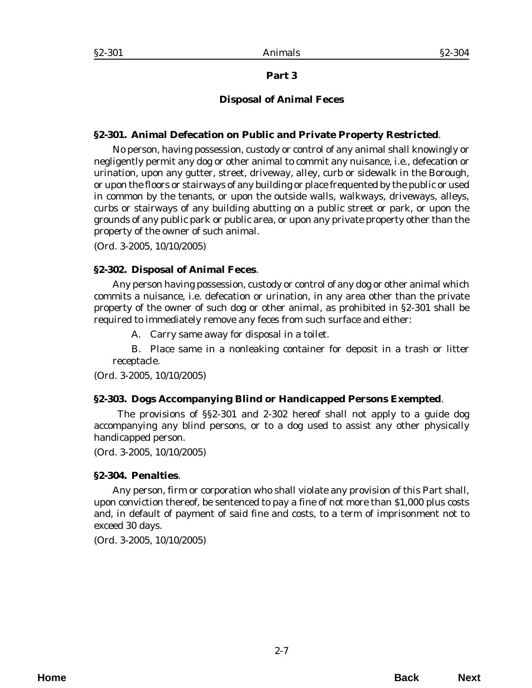# **Disposal of Animal Feces**

#### <span id="page-6-0"></span>**§2-301. Animal Defecation on Public and Private Property Restricted**.

No person, having possession, custody or control of any animal shall knowingly or negligently permit any dog or other animal to commit any nuisance, i.e., defecation or urination, upon any gutter, street, driveway, alley, curb or sidewalk in the Borough, or upon the floors or stairways of any building or place frequented by the public or used in common by the tenants, or upon the outside walls, walkways, driveways, alleys, curbs or stairways of any building abutting on a public street or park, or upon the grounds of any public park or public area, or upon any private property other than the property of the owner of such animal.

(*Ord. 3-2005*, 10/10/2005)

### **§2-302. Disposal of Animal Feces**.

Any person having possession, custody or control of any dog or other animal which commits a nuisance, i.e. defecation or urination, in any area other than the private property of the owner of such dog or other animal, as prohibited in §2-301 shall be required to immediately remove any feces from such surface and either:

A. Carry same away for disposal in a toilet.

B. Place same in a nonleaking container for deposit in a trash or litter receptacle.

(*Ord. 3-2005*, 10/10/2005)

### **§2-303. Dogs Accompanying Blind or Handicapped Persons Exempted**.

 The provisions of §§2-301 and 2-302 hereof shall not apply to a guide dog accompanying any blind persons, or to a dog used to assist any other physically handicapped person.

(*Ord. 3-2005*, 10/10/2005)

### **§2-304. Penalties**.

Any person, firm or corporation who shall violate any provision of this Part shall, upon conviction thereof, be sentenced to pay a fine of not more than \$1,000 plus costs and, in default of payment of said fine and costs, to a term of imprisonment not to exceed 30 days.

(*Ord. 3-2005*, 10/10/2005)